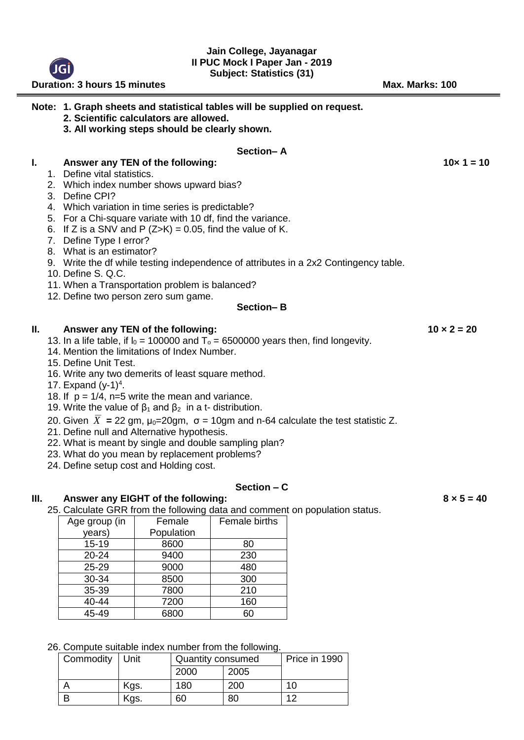### **Jain College, Jayanagar II PUC Mock I Paper Jan - 2019 Subject: Statistics (31)**

| <b>Duration: 3 hours 15 minutes</b>                                                                                                                                                                                                                                                                                                                                                                                                                                                                                                                                                                                                                                                                                                       | Max. Marks: 100    |
|-------------------------------------------------------------------------------------------------------------------------------------------------------------------------------------------------------------------------------------------------------------------------------------------------------------------------------------------------------------------------------------------------------------------------------------------------------------------------------------------------------------------------------------------------------------------------------------------------------------------------------------------------------------------------------------------------------------------------------------------|--------------------|
| Note: 1. Graph sheets and statistical tables will be supplied on request.<br>2. Scientific calculators are allowed.<br>3. All working steps should be clearly shown.                                                                                                                                                                                                                                                                                                                                                                                                                                                                                                                                                                      |                    |
| Section-A                                                                                                                                                                                                                                                                                                                                                                                                                                                                                                                                                                                                                                                                                                                                 |                    |
| Answer any TEN of the following:<br>L.<br>1. Define vital statistics.<br>2. Which index number shows upward bias?<br>3. Define CPI?<br>4. Which variation in time series is predictable?<br>5. For a Chi-square variate with 10 df, find the variance.<br>6. If Z is a SNV and P $(Z>K) = 0.05$ , find the value of K.<br>7. Define Type I error?<br>8. What is an estimator?<br>9. Write the df while testing independence of attributes in a 2x2 Contingency table.<br>10. Define S. Q.C.<br>11. When a Transportation problem is balanced?<br>12. Define two person zero sum game.                                                                                                                                                     | 10 $\times$ 1 = 10 |
| <b>Section-B</b>                                                                                                                                                                                                                                                                                                                                                                                                                                                                                                                                                                                                                                                                                                                          |                    |
| Ш.<br>Answer any TEN of the following:<br>13. In a life table, if $I_0 = 100000$ and $T_0 = 6500000$ years then, find longevity.<br>14. Mention the limitations of Index Number.<br>15. Define Unit Test.<br>16. Write any two demerits of least square method.<br>17. Expand $(y-1)^4$ .<br>18. If $p = 1/4$ , n=5 write the mean and variance.<br>19. Write the value of $\beta_1$ and $\beta_2$ in a t- distribution.<br>20. Given $\overline{X}$ = 22 gm, $\mu_0$ =20gm, $\sigma$ = 10gm and n-64 calculate the test statistic Z.<br>21. Define null and Alternative hypothesis.<br>22. What is meant by single and double sampling plan?<br>23. What do you mean by replacement problems?<br>24. Define setup cost and Holding cost. | $10 \times 2 = 20$ |
| Section - C<br>Ш.<br>Answer any EIGHT of the following:<br>25. Calculate GRR from the following data and comment on population status.<br>Female<br>Female births<br>Age group (in<br>Population<br>years)                                                                                                                                                                                                                                                                                                                                                                                                                                                                                                                                | $8 \times 5 = 40$  |

26. Compute suitable index number from the following.

15-19 8600 80<br>20-24 9400 230 20-24 9400 230<br>25-29 9000 480

30-34 8500 300 35-39 7800 210 40-44 7200 160<br>45-49 6800 60

 $25 - 29$ 

**JGi** 

 $45 - 49$ 

| Commodity   Unit |      | <b>Quantity consumed</b> |      | Price in 1990 |
|------------------|------|--------------------------|------|---------------|
|                  |      | 2000                     | 2005 |               |
|                  | Kgs. | 180                      | 200  | 1በ            |
|                  | Kgs. | 60                       | 80   | 1 ຕ           |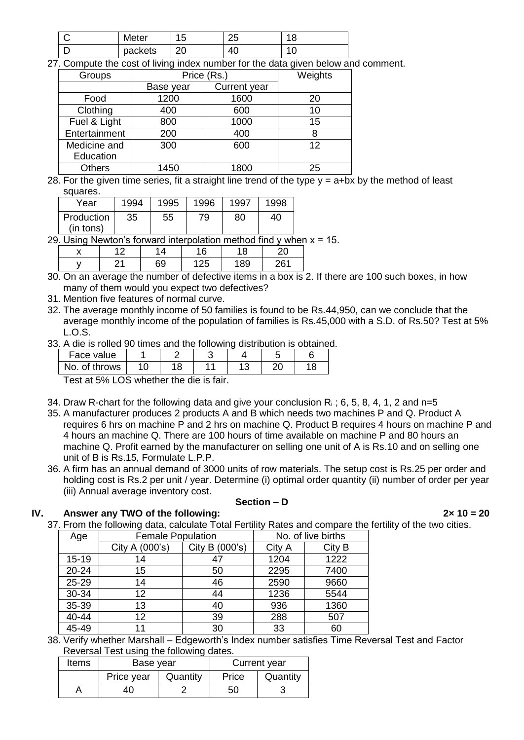| ╰ | Meter   | ħ<br>N   | つに<br>∠J |  |
|---|---------|----------|----------|--|
|   | packets | nr<br>۷J | 40       |  |

27. Compute the cost of living index number for the data given below and comment.

| Groups        |           | Price (Rs.)  | Weights |
|---------------|-----------|--------------|---------|
|               | Base year | Current year |         |
| Food          | 1200      | 1600         | 20      |
| Clothing      | 400       | 600          | 10      |
| Fuel & Light  | 800       | 1000         | 15      |
| Entertainment | 200       | 400          | 8       |
| Medicine and  | 300       | 600          | 12      |
| Education     |           |              |         |
| <b>Others</b> | 1450      | 1800         | 25      |

28. For the given time series, fit a straight line trend of the type  $y = a + bx$  by the method of least squares.

| Year                                                                           | 1994 | 1995 | 1996 | 1997 | 1998 |
|--------------------------------------------------------------------------------|------|------|------|------|------|
| Production                                                                     | 35   | 55   | 79   | 80   | 40   |
| (in tons)<br><u> 2 Lleina Newton's forward internolation method find v who</u> |      |      |      |      |      |

29. Using Newton's forward interpolation method find y when x = 15.

|  | 69 | ້ | 189 | 261 |  |
|--|----|---|-----|-----|--|

30. On an average the number of defective items in a box is 2. If there are 100 such boxes, in how many of them would you expect two defectives?

- 31. Mention five features of normal curve.
- 32. The average monthly income of 50 families is found to be Rs.44,950, can we conclude that the average monthly income of the population of families is Rs.45,000 with a S.D. of Rs.50? Test at 5% L.O.S.
- 33. A die is rolled 90 times and the following distribution is obtained.

| Face value       |                                         |                          |    |  |
|------------------|-----------------------------------------|--------------------------|----|--|
| No.<br>of throws | $\sim$                                  | י 0<br>-C                | 40 |  |
| _____            | ____<br>the contract of the contract of | the property of the con- |    |  |

Test at 5% LOS whether the die is fair.

- 34. Draw R-chart for the following data and give your conclusion  $R_i$ ; 6, 5, 8, 4, 1, 2 and n=5
- 35. A manufacturer produces 2 products A and B which needs two machines P and Q. Product A requires 6 hrs on machine P and 2 hrs on machine Q. Product B requires 4 hours on machine P and 4 hours an machine Q. There are 100 hours of time available on machine P and 80 hours an machine Q. Profit earned by the manufacturer on selling one unit of A is Rs.10 and on selling one unit of B is Rs.15, Formulate L.P.P.
- 36. A firm has an annual demand of 3000 units of row materials. The setup cost is Rs.25 per order and holding cost is Rs.2 per unit / year. Determine (i) optimal order quantity (ii) number of order per year (iii) Annual average inventory cost.

#### **Section – D**

### **IV. Answer any TWO of the following: 2× 10 = 20**

37. From the following data, calculate Total Fertility Rates and compare the fertility of the two cities.

| Age       | <b>Female Population</b> |                | No. of live births |        |  |
|-----------|--------------------------|----------------|--------------------|--------|--|
|           | City A (000's)           | City B (000's) | City A             | City B |  |
| $15 - 19$ | 14                       | 47             | 1204               | 1222   |  |
| $20 - 24$ | 15                       | 50             | 2295               | 7400   |  |
| 25-29     | 14                       | 46             | 2590               | 9660   |  |
| 30-34     | 12                       | 44             | 1236               | 5544   |  |
| 35-39     | 13                       | 40             | 936                | 1360   |  |
| 40-44     | 12                       | 39             | 288                | 507    |  |
| 45-49     | 11                       | 30             | 33                 | 60     |  |

38. Verify whether Marshall – Edgeworth's Index number satisfies Time Reversal Test and Factor Reversal Test using the following dates.

| <b>Items</b> | Base year  |          | Current year |          |  |
|--------------|------------|----------|--------------|----------|--|
|              | Price year | Quantity | Price        | Quantity |  |
|              | 40         |          | 50           |          |  |